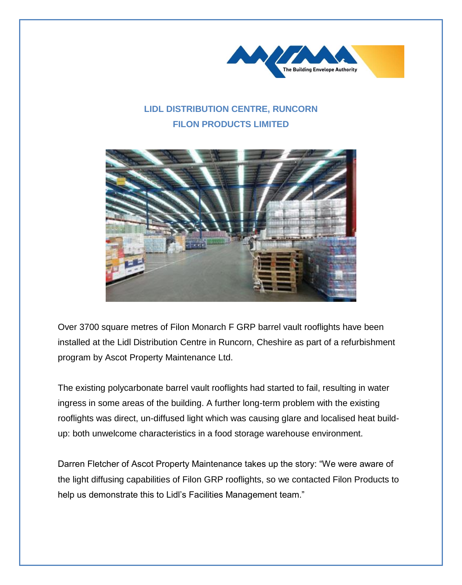

## **LIDL DISTRIBUTION CENTRE, RUNCORN FILON PRODUCTS LIMITED**



Over 3700 square metres of Filon Monarch F GRP barrel vault rooflights have been installed at the Lidl Distribution Centre in Runcorn, Cheshire as part of a refurbishment program by Ascot Property Maintenance Ltd.

The existing polycarbonate barrel vault rooflights had started to fail, resulting in water ingress in some areas of the building. A further long-term problem with the existing rooflights was direct, un-diffused light which was causing glare and localised heat buildup: both unwelcome characteristics in a food storage warehouse environment.

Darren Fletcher of Ascot Property Maintenance takes up the story: "We were aware of the light diffusing capabilities of Filon GRP rooflights, so we contacted Filon Products to help us demonstrate this to Lidl's Facilities Management team."